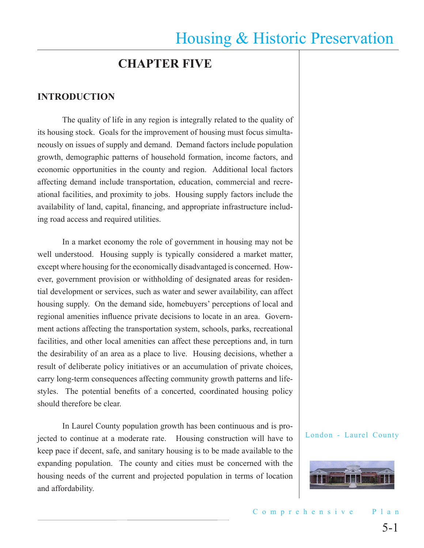## **CHAPTER FIVE**

#### **INTRODUCTION**

The quality of life in any region is integrally related to the quality of its housing stock. Goals for the improvement of housing must focus simultaneously on issues of supply and demand. Demand factors include population growth, demographic patterns of household formation, income factors, and economic opportunities in the county and region. Additional local factors affecting demand include transportation, education, commercial and recreational facilities, and proximity to jobs. Housing supply factors include the availability of land, capital, financing, and appropriate infrastructure including road access and required utilities.

In a market economy the role of government in housing may not be well understood. Housing supply is typically considered a market matter, except where housing for the economically disadvantaged is concerned. However, government provision or withholding of designated areas for residential development or services, such as water and sewer availability, can affect housing supply. On the demand side, homebuyers' perceptions of local and regional amenities influence private decisions to locate in an area. Government actions affecting the transportation system, schools, parks, recreational facilities, and other local amenities can affect these perceptions and, in turn the desirability of an area as a place to live. Housing decisions, whether a result of deliberate policy initiatives or an accumulation of private choices, carry long-term consequences affecting community growth patterns and lifestyles. The potential benefits of a concerted, coordinated housing policy should therefore be clear.

In Laurel County population growth has been continuous and is projected to continue at a moderate rate. Housing construction will have to keep pace if decent, safe, and sanitary housing is to be made available to the expanding population. The county and cities must be concerned with the housing needs of the current and projected population in terms of location and affordability.

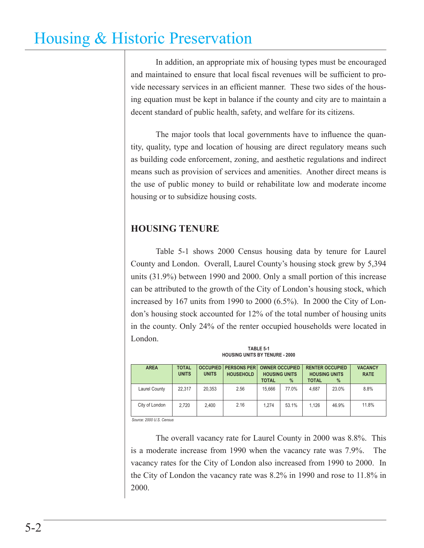In addition, an appropriate mix of housing types must be encouraged and maintained to ensure that local fiscal revenues will be sufficient to provide necessary services in an efficient manner. These two sides of the housing equation must be kept in balance if the county and city are to maintain a decent standard of public health, safety, and welfare for its citizens.

The major tools that local governments have to influence the quantity, quality, type and location of housing are direct regulatory means such as building code enforcement, zoning, and aesthetic regulations and indirect means such as provision of services and amenities. Another direct means is the use of public money to build or rehabilitate low and moderate income housing or to subsidize housing costs.

## **HOUSING TENURE**

Table 5-1 shows 2000 Census housing data by tenure for Laurel County and London. Overall, Laurel County's housing stock grew by 5,394 units (31.9%) between 1990 and 2000. Only a small portion of this increase can be attributed to the growth of the City of London's housing stock, which increased by 167 units from 1990 to 2000 (6.5%). In 2000 the City of London's housing stock accounted for 12% of the total number of housing units in the county. Only 24% of the renter occupied households were located in London.

| <b>HUUSING UNITS BT TENURE - 2000</b> |                              |                                 |                                        |                                                               |       |                                      |                                         |                               |  |  |
|---------------------------------------|------------------------------|---------------------------------|----------------------------------------|---------------------------------------------------------------|-------|--------------------------------------|-----------------------------------------|-------------------------------|--|--|
| <b>AREA</b>                           | <b>TOTAL</b><br><b>UNITS</b> | <b>OCCUPIED</b><br><b>UNITS</b> | <b>PERSONS PER</b><br><b>HOUSEHOLD</b> | <b>OWNER OCCUPIED</b><br><b>HOUSING UNITS</b><br><b>TOTAL</b> | $\%$  | <b>HOUSING UNITS</b><br><b>TOTAL</b> | <b>RENTER OCCUPIED</b><br>$\frac{9}{6}$ | <b>VACANCY</b><br><b>RATE</b> |  |  |
| Laurel County                         | 22.317                       | 20.353                          | 2.56                                   | 15.666                                                        | 77.0% | 4.687                                | 23.0%                                   | 8.8%                          |  |  |
| City of London                        | 2.720                        | 2.400                           | 2.16                                   | 1.274                                                         | 53.1% | 1.126                                | 46.9%                                   | 11.8%                         |  |  |

**TABLE 5-1**

**HOUSING UNITS BY:** 

*Source: 2000 U.S. Census*

The overall vacancy rate for Laurel County in 2000 was 8.8%. This is a moderate increase from 1990 when the vacancy rate was 7.9%. The vacancy rates for the City of London also increased from 1990 to 2000. In the City of London the vacancy rate was 8.2% in 1990 and rose to 11.8% in 2000.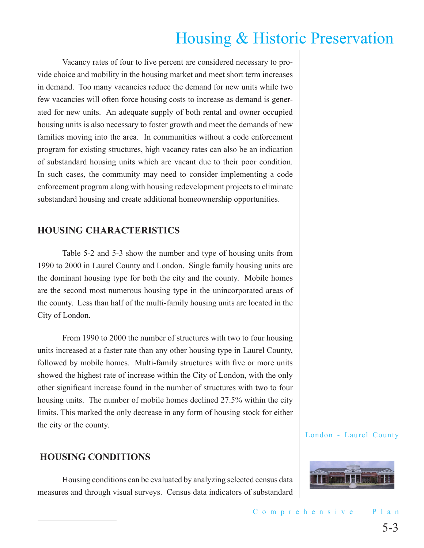Vacancy rates of four to five percent are considered necessary to provide choice and mobility in the housing market and meet short term increases in demand. Too many vacancies reduce the demand for new units while two few vacancies will often force housing costs to increase as demand is generated for new units. An adequate supply of both rental and owner occupied housing units is also necessary to foster growth and meet the demands of new families moving into the area. In communities without a code enforcement program for existing structures, high vacancy rates can also be an indication of substandard housing units which are vacant due to their poor condition. In such cases, the community may need to consider implementing a code enforcement program along with housing redevelopment projects to eliminate substandard housing and create additional homeownership opportunities.

### **HOUSING CHARACTERISTICS**

Table 5-2 and 5-3 show the number and type of housing units from 1990 to 2000 in Laurel County and London. Single family housing units are the dominant housing type for both the city and the county. Mobile homes are the second most numerous housing type in the unincorporated areas of the county. Less than half of the multi-family housing units are located in the City of London.

From 1990 to 2000 the number of structures with two to four housing units increased at a faster rate than any other housing type in Laurel County, followed by mobile homes. Multi-family structures with five or more units showed the highest rate of increase within the City of London, with the only other significant increase found in the number of structures with two to four housing units. The number of mobile homes declined 27.5% within the city limits. This marked the only decrease in any form of housing stock for either the city or the county.

### **HOUSING CONDITIONS**

Housing conditions can be evaluated by analyzing selected census data measures and through visual surveys. Census data indicators of substandard

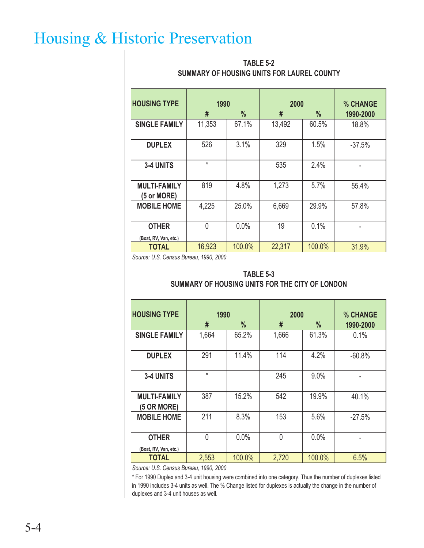| <b>HOUSING TYPE</b>                | 1990<br>#<br>$\frac{0}{0}$ |        | 2000<br># | % CHANGE<br>1990-2000  |          |  |
|------------------------------------|----------------------------|--------|-----------|------------------------|----------|--|
| <b>SINGLE FAMILY</b>               | 11,353                     | 67.1%  | 13,492    | $\frac{0}{0}$<br>60.5% | 18.8%    |  |
| <b>DUPLEX</b>                      | 526                        | 3.1%   | 329       | 1.5%                   | $-37.5%$ |  |
| 3-4 UNITS                          | $\star$                    |        | 535       | 2.4%                   |          |  |
| <b>MULTI-FAMILY</b><br>(5 or MORE) | 819                        | 4.8%   | 1,273     | 5.7%                   | 55.4%    |  |
| <b>MOBILE HOME</b>                 | 4,225                      | 25.0%  | 6,669     | 29.9%                  | 57.8%    |  |
| <b>OTHER</b>                       | $\overline{0}$             |        | 19        | 0.1%                   |          |  |
| (Boat, RV, Van, etc.)              |                            |        |           |                        |          |  |
| <b>TOTAL</b>                       | 16,923                     | 100.0% | 22,317    | 100.0%                 | 31.9%    |  |

### **TABLE 5-2 SUMMARY OF HOUSING UNITS FOR LAUREL COUNTY**

*Source: U.S. Census Bureau, 1990, 2000*

#### **SUMMARY OF HOUSING UNITS FOR THE CITY OF LONDON TABLE 5-3**

| <b>HOUSING TYPE</b>                   | 1990           |               | 2000     | % CHANGE      |           |  |
|---------------------------------------|----------------|---------------|----------|---------------|-----------|--|
|                                       | #              | $\frac{0}{0}$ | #        | $\frac{0}{0}$ | 1990-2000 |  |
| <b>SINGLE FAMILY</b>                  | 1,664          | 65.2%         | 1,666    | 61.3%         | 0.1%      |  |
| <b>DUPLEX</b>                         | 291            | 11.4%         | 114      | 4.2%          | $-60.8%$  |  |
| 3-4 UNITS                             | $\star$        |               | 245      | 9.0%          |           |  |
| <b>MULTI-FAMILY</b><br>(5 OR MORE)    | 387            | 15.2%         | 542      | 19.9%         | 40.1%     |  |
| <b>MOBILE HOME</b>                    | 211            | 8.3%          | 153      | 5.6%          | $-27.5%$  |  |
| <b>OTHER</b><br>(Boat, RV, Van, etc.) | $\overline{0}$ | 0.0%          | $\Omega$ | 0.0%          |           |  |
| <b>TOTAL</b>                          | 2,553          | 100.0%        | 2,720    | 100.0%        | 6.5%      |  |

*Source: U.S. Census Bureau, 1990, 2000*

\* For 1990 Duplex and 3-4 unit housing were combined into one category. Thus the number of duplexes listed in 1990 includes 3-4 units as well. The % Change listed for duplexes is actually the change in the number of duplexes and 3-4 unit houses as well.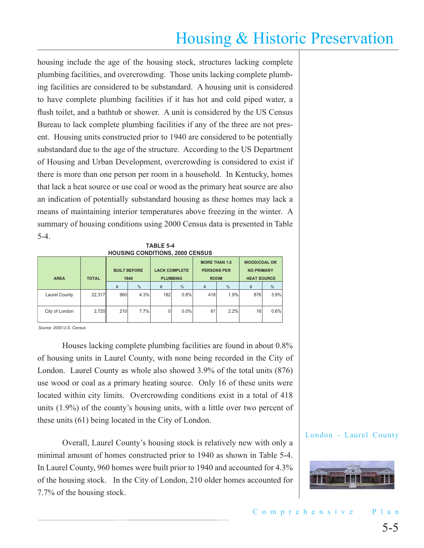housing include the age of the housing stock, structures lacking complete plumbing facilities, and overcrowding. Those units lacking complete plumbing facilities are considered to be substandard. A housing unit is considered to have complete plumbing facilities if it has hot and cold piped water, a flush toilet, and a bathtub or shower. A unit is considered by the US Census Bureau to lack complete plumbing facilities if any of the three are not present. Housing units constructed prior to 1940 are considered to be potentially substandard due to the age of the structure. According to the US Department of Housing and Urban Development, overcrowding is considered to exist if there is more than one person per room in a household. In Kentucky, homes that lack a heat source or use coal or wood as the primary heat source are also an indication of potentially substandard housing as these homes may lack a means of maintaining interior temperatures above freezing in the winter. A summary of housing conditions using 2000 Census data is presented in Table 5-4.

|                                        | <b>TABLE 5-4</b> |  |  |
|----------------------------------------|------------------|--|--|
| <b>HOUSING CONDITIONS, 2000 CENSUS</b> |                  |  |  |

| <b>AREA</b>    | <b>TOTAL</b> | <b>BUILT BEFORE</b><br>1940 |      |     | <b>LACK COMPLETE</b><br><b>PLUMBING</b> | <b>MORE THAN 1.0</b><br><b>PERSONS PER</b><br><b>ROOM</b> |      | <b>WOOD/COAL OR</b><br><b>NO PRIMARY</b><br><b>HEAT SOURCE</b> |      |  |
|----------------|--------------|-----------------------------|------|-----|-----------------------------------------|-----------------------------------------------------------|------|----------------------------------------------------------------|------|--|
|                |              | #                           | %    | #   | $\%$                                    | #                                                         | $\%$ | #                                                              | %    |  |
| Laurel County  | 22,317       | 960                         | 4.3% | 182 | 0.8%                                    | 418                                                       | 1.9% | 876                                                            | 3.9% |  |
| City of London | 2,720        | 210                         | 7.7% |     | $0.0\%$                                 | 61                                                        | 2.2% | 16                                                             | 0.6% |  |

*Source: 2000 U.S. Census*

Houses lacking complete plumbing facilities are found in about 0.8% of housing units in Laurel County, with none being recorded in the City of London. Laurel County as whole also showed 3.9% of the total units (876) use wood or coal as a primary heating source. Only 16 of these units were located within city limits. Overcrowding conditions exist in a total of 418 units (1.9%) of the county's housing units, with a little over two percent of these units (61) being located in the City of London.

Overall, Laurel County's housing stock is relatively new with only a minimal amount of homes constructed prior to 1940 as shown in Table 5-4. In Laurel County, 960 homes were built prior to 1940 and accounted for 4.3% of the housing stock. In the City of London, 210 older homes accounted for 7.7% of the housing stock.

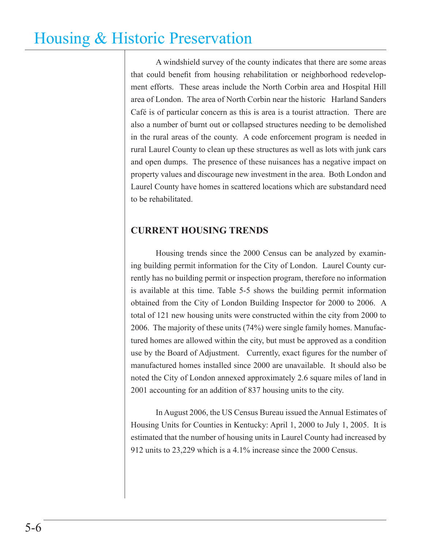A windshield survey of the county indicates that there are some areas that could benefit from housing rehabilitation or neighborhood redevelopment efforts. These areas include the North Corbin area and Hospital Hill area of London. The area of North Corbin near the historic Harland Sanders Café is of particular concern as this is area is a tourist attraction. There are also a number of burnt out or collapsed structures needing to be demolished in the rural areas of the county. A code enforcement program is needed in rural Laurel County to clean up these structures as well as lots with junk cars and open dumps. The presence of these nuisances has a negative impact on property values and discourage new investment in the area. Both London and Laurel County have homes in scattered locations which are substandard need to be rehabilitated.

### **CURRENT HOUSING TRENDS**

Housing trends since the 2000 Census can be analyzed by examining building permit information for the City of London. Laurel County currently has no building permit or inspection program, therefore no information is available at this time. Table 5-5 shows the building permit information obtained from the City of London Building Inspector for 2000 to 2006. A total of 121 new housing units were constructed within the city from 2000 to 2006. The majority of these units (74%) were single family homes. Manufactured homes are allowed within the city, but must be approved as a condition use by the Board of Adjustment. Currently, exact figures for the number of manufactured homes installed since 2000 are unavailable. It should also be noted the City of London annexed approximately 2.6 square miles of land in 2001 accounting for an addition of 837 housing units to the city.

In August 2006, the US Census Bureau issued the Annual Estimates of Housing Units for Counties in Kentucky: April 1, 2000 to July 1, 2005. It is estimated that the number of housing units in Laurel County had increased by 912 units to 23,229 which is a 4.1% increase since the 2000 Census.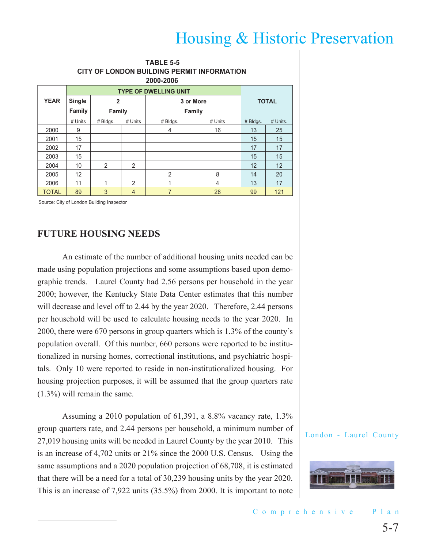| <b>TABLE 5-5</b><br><b>CITY OF LONDON BUILDING PERMIT INFORMATION</b><br>2000-2006 |                              |                  |           |               |         |          |          |  |  |  |  |
|------------------------------------------------------------------------------------|------------------------------|------------------|-----------|---------------|---------|----------|----------|--|--|--|--|
|                                                                                    | <b>TYPE OF DWELLING UNIT</b> |                  |           |               |         |          |          |  |  |  |  |
| <b>YEAR</b>                                                                        | <b>Single</b>                | $\overline{2}$   | 3 or More | <b>TOTAL</b>  |         |          |          |  |  |  |  |
|                                                                                    | Family                       | Family<br>Family |           |               |         |          |          |  |  |  |  |
|                                                                                    | # Units                      | # Bldgs.         | # Units   | # Bldgs.      | # Units | # Bldgs. | # Units. |  |  |  |  |
| 2000                                                                               | 9                            |                  |           | 4             | 16      | 13       | 25       |  |  |  |  |
| 2001                                                                               | 15                           |                  |           |               |         | 15       | 15       |  |  |  |  |
| 2002                                                                               | 17                           |                  |           |               |         | 17       | 17       |  |  |  |  |
| 2003                                                                               | 15                           |                  |           |               |         | 15       | 15       |  |  |  |  |
| 2004                                                                               | 10                           | $\mathfrak{p}$   | 2         |               |         | 12       | 12       |  |  |  |  |
| 2005                                                                               | 12                           |                  |           | $\mathcal{P}$ | 8       | 14       | 20       |  |  |  |  |
| 2006                                                                               | 11                           | 4                | 2         | 1             | 4       | 13       | 17       |  |  |  |  |
| <b>TOTAL</b>                                                                       | 89                           | 3                | 4         | 7             | 28      | 99       | 121      |  |  |  |  |

Source: City of London Building Inspector

### **FUTURE HOUSING NEEDS**

An estimate of the number of additional housing units needed can be made using population projections and some assumptions based upon demographic trends. Laurel County had 2.56 persons per household in the year 2000; however, the Kentucky State Data Center estimates that this number will decrease and level off to 2.44 by the year 2020. Therefore, 2.44 persons per household will be used to calculate housing needs to the year 2020. In 2000, there were 670 persons in group quarters which is 1.3% of the county's population overall. Of this number, 660 persons were reported to be institutionalized in nursing homes, correctional institutions, and psychiatric hospitals. Only 10 were reported to reside in non-institutionalized housing. For housing projection purposes, it will be assumed that the group quarters rate (1.3%) will remain the same.

Assuming a 2010 population of 61,391, a 8.8% vacancy rate, 1.3% group quarters rate, and 2.44 persons per household, a minimum number of 27,019 housing units will be needed in Laurel County by the year 2010. This is an increase of 4,702 units or 21% since the 2000 U.S. Census. Using the same assumptions and a 2020 population projection of 68,708, it is estimated that there will be a need for a total of 30,239 housing units by the year 2020. This is an increase of 7,922 units (35.5%) from 2000. It is important to note

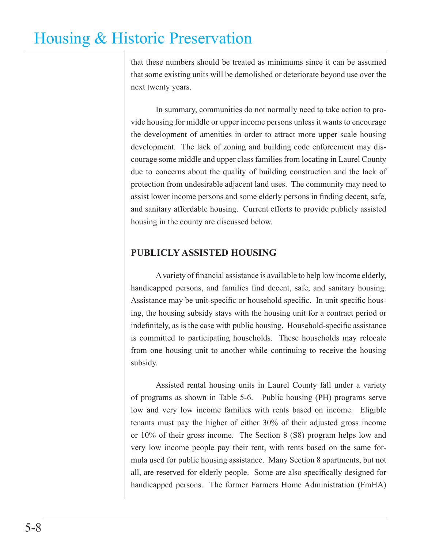that these numbers should be treated as minimums since it can be assumed that some existing units will be demolished or deteriorate beyond use over the next twenty years.

In summary, communities do not normally need to take action to provide housing for middle or upper income persons unless it wants to encourage the development of amenities in order to attract more upper scale housing development. The lack of zoning and building code enforcement may discourage some middle and upper class families from locating in Laurel County due to concerns about the quality of building construction and the lack of protection from undesirable adjacent land uses. The community may need to assist lower income persons and some elderly persons in finding decent, safe, and sanitary affordable housing. Current efforts to provide publicly assisted housing in the county are discussed below.

### **PUBLICLY ASSISTED HOUSING**

A variety of financial assistance is available to help low income elderly, handicapped persons, and families find decent, safe, and sanitary housing. Assistance may be unit-specific or household specific. In unit specific housing, the housing subsidy stays with the housing unit for a contract period or indefinitely, as is the case with public housing. Household-specific assistance is committed to participating households. These households may relocate from one housing unit to another while continuing to receive the housing subsidy.

Assisted rental housing units in Laurel County fall under a variety of programs as shown in Table 5-6. Public housing (PH) programs serve low and very low income families with rents based on income. Eligible tenants must pay the higher of either 30% of their adjusted gross income or 10% of their gross income. The Section 8 (S8) program helps low and very low income people pay their rent, with rents based on the same formula used for public housing assistance. Many Section 8 apartments, but not all, are reserved for elderly people. Some are also specifically designed for handicapped persons. The former Farmers Home Administration (FmHA)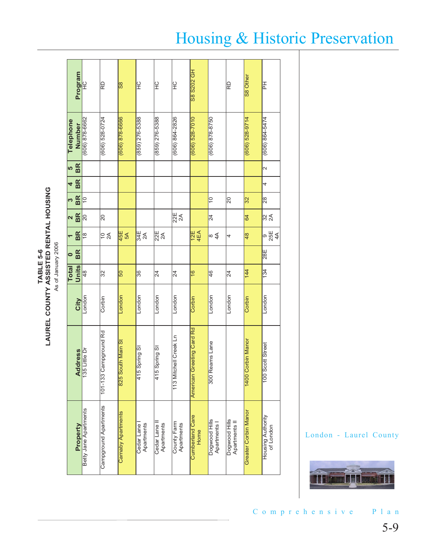**TABLE 5-6 LAUREL COUNTY ASSISTED RENTAL HOUSIN G** As of January 2006

|                         | Program   | $\frac{C}{L}$         | RD                           | န္တြ               | $\frac{C}{T}$                | 일                           | $\frac{C}{T}$             | S8 S202 GH                     |                               | RD                             | S8 Other                    | 준                               |
|-------------------------|-----------|-----------------------|------------------------------|--------------------|------------------------------|-----------------------------|---------------------------|--------------------------------|-------------------------------|--------------------------------|-----------------------------|---------------------------------|
| Telephone               | Number    | $(606) 878 - 6662$    | $(606) 528 - 0724$           | (606) 878-6666     | $(859)$ $276 - 5388$         | $(859)$ $276 - 5388$        | $(606) 864 - 2826$        | $(606) 528 - 7010$             | $(606) 878 - 8750$            |                                | $(606) 528 - 9714$          | (606) 864-5474                  |
| <u> မ</u> ာ             | BR        |                       |                              |                    |                              |                             |                           |                                |                               |                                |                             | $\sim$                          |
| 4                       | BR        |                       |                              |                    |                              |                             |                           |                                |                               |                                |                             | 4                               |
| S                       | BR        | $\frac{1}{2}$         |                              |                    |                              |                             |                           |                                | $\frac{1}{2}$                 | $\overline{0}$                 | 32                          | $\overline{\mathbb{R}}$         |
| $\overline{\mathbf{c}}$ | <b>BR</b> | $\overline{0}$        | 20                           |                    |                              |                             | $\frac{1}{22}$            |                                | $\overline{24}$               |                                | 64                          | $\frac{2}{3}$                   |
|                         | BR        | $\frac{8}{1}$         | $\frac{1}{2}$                | $rac{45E}{5A}$     | 34E<br>2A                    | $\frac{1}{225}$             |                           | $12E$<br>4EA                   |                               | 4                              | 48                          | 9<br>25E<br>4A                  |
| $\bullet$               | BR        |                       |                              |                    |                              |                             |                           |                                |                               |                                |                             | $\overline{28}$                 |
| Total                   | Units     | $\frac{8}{4}$         | $\overline{32}$              | 50                 | 36                           | $\overline{4}$              | 24                        | $\frac{6}{5}$                  | 46                            | $\overline{24}$                | 144                         | $\frac{1}{34}$                  |
|                         | City      | London                | Corbin                       | London             | London                       | London                      | London                    | Corbin                         | London                        | London                         | Corbin                      | London                          |
|                         | Address   | 135 Little Dr         | Campground Rd<br>$101 - 133$ | 825 South Main St  | 5 Spring St<br>$\frac{4}{1}$ | 415 Spring St               | 113 Mitchell Creek Ln     | Greeting Card Rd<br>American   | Reams Lane<br>$\frac{8}{300}$ |                                | <b>Corbin Manor</b><br>1400 | Scott Street<br>$\overline{50}$ |
|                         | Property  | Betty Jane Apartments | Campground Apartments        | Carnaby Apartments | Apartments<br>Cedar Lane     | Cedar Lane II<br>Apartments | County Farm<br>Apartments | <b>Cumberland Care</b><br>Home | Dogwood Hills<br>Apartments   | Dogwood Hills<br>Apartments II | Greater Corbin Manor        | Housing Authority<br>of London  |

# Housing & Historic Preservation

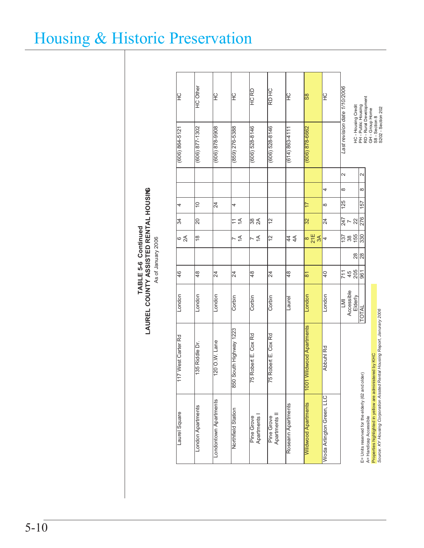**HC** Other London Apartments 135 Riddle Dr. London 48 18 20 10 (606) 877-1302 HC Other Last revision date 1/10/2006 *Last revision date 1/10/2006* DRCHCH D R 잎 P<br>F 오<br>도 န္တြ **PE** lč HC - Housing Credit<br>PH - Public Housing<br>RD - Rural Development<br>Sd - Section Home<br>SS - Section 202 Laurel Square 117 West Carter Rd London 46 6 34 4 (606) 864-5121 HC Wildwood Apartments 1001 Wildwood Apartments London 81 8 32 17 (606) 878-6662 S8 RD - Rural Development Highway 1988(S-927 Cos8) コーニュー T コーヒュー L コーヒュー T T A コーヒュロ I G277 AemulaHin 25 Northin 2023 AemulaHin 260 Gos コ HC - Housing Credit PH - Public Housing GH - Group Home S8 - Section 8 (606) 877-1302  $(859)$   $276 - 5388$ (606) 878-6662 878-9908) (606) 528-8146 (606) 528-8146  $(606) 864 - 5121$ (614) 863-4111  $\sim$  $\overline{\mathsf{N}}$ LMI | 711 | 137 | 247 | 125 | 8 | 2 E= Units reserved for the elderly (62 and older)  $\begin{array}{|l|} \hline \text{I OTAL} & \text{961} & \text{28} & \text{330} & \text{276} & \text{157} & \text{8} & \text{2} \\\hline \end{array}$  $\infty$ 4 $\frac{15}{25}$ 157 ₽  $\infty$  $\mathbb{Z}$  $\frac{1}{247}$  ~  $\frac{2}{276}$  $\Xi \leq$ |ऋ ାର  $\frac{1}{2}$  $32$ 1A 1A Apartments | 14 | 2A 83  $\mathcal{Z}$ Elderly 205 28 155 22 Accessible | 45 | 38 | 7  $\frac{15}{25}$   $\frac{25}{25}$  $\approx$ ∣∞  $\leq$  $\overline{5}$  $\frac{2}{\pi}$   $\frac{2}{\pi}$ 444A  $\overline{\phantom{0}}$  $\frac{8}{28}$  $\frac{1}{2}$  #  $\frac{2}{3}$  $\frac{8}{4}$ 84မြ  $\overline{4}$ ౹ౙ  $\mathcal{Z}$  $\mathcal{Z}$ 84 04 Accessible<br>Accessible<br>TOTAL London London London Corbin London London Corbin Corbin Laurel Properties highlighted in yellow are administered by KHC<br>Source: KY Housing Corporation Aissted Rental Housing Report, Janurary 2006 1001 Wildwood Apartments 850 South Highway 1223 75 Robert E. Cox Rd 75 Robert E. Cox Rd 117 West Carter Rd 120 O.W. Lane 135 Riddle Dr. bbuhl Rd Properties highlighted in yellow are administered by KHC A E= Units reserved for the elderly (62 and older) Woda Arlington Green, LLC Woda Arlington Green, LLC Londontown Apartments **Wildwood Apartments** London Apartments Apartments Northfield Station Laurel Square Apartments II A= Handicap Accessible Pine Grove Pine Grove A= Handicap Accessible nnaesoœ

*Source: KY Housing Corporation Aissted Rental Housing Report, Janurary 2006*

S202 - Section 202

**TABLE 5-6 Continued<br>LAUREL COUNTY ASSISTED RENTAL HOUSING LAUREL COUNTY ASSISTED RENTAL HOUSING TABLE 5-6 Continued** As of January 2006 As of January 2006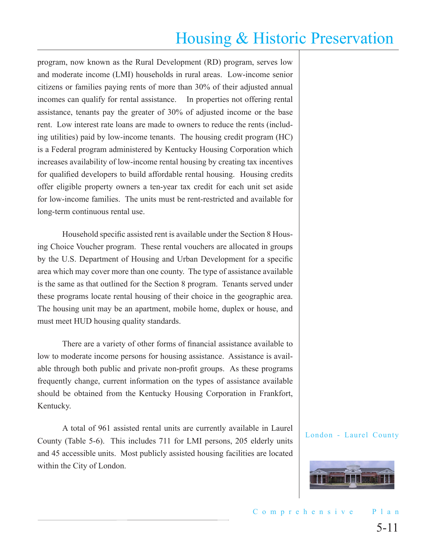program, now known as the Rural Development (RD) program, serves low and moderate income (LMI) households in rural areas. Low-income senior citizens or families paying rents of more than 30% of their adjusted annual incomes can qualify for rental assistance. In properties not offering rental assistance, tenants pay the greater of 30% of adjusted income or the base rent. Low interest rate loans are made to owners to reduce the rents (including utilities) paid by low-income tenants. The housing credit program (HC) is a Federal program administered by Kentucky Housing Corporation which increases availability of low-income rental housing by creating tax incentives for qualified developers to build affordable rental housing. Housing credits offer eligible property owners a ten-year tax credit for each unit set aside for low-income families. The units must be rent-restricted and available for long-term continuous rental use.

Household specific assisted rent is available under the Section 8 Housing Choice Voucher program. These rental vouchers are allocated in groups by the U.S. Department of Housing and Urban Development for a specific area which may cover more than one county. The type of assistance available is the same as that outlined for the Section 8 program. Tenants served under these programs locate rental housing of their choice in the geographic area. The housing unit may be an apartment, mobile home, duplex or house, and must meet HUD housing quality standards.

There are a variety of other forms of financial assistance available to low to moderate income persons for housing assistance. Assistance is available through both public and private non-profit groups. As these programs frequently change, current information on the types of assistance available should be obtained from the Kentucky Housing Corporation in Frankfort, Kentucky.

A total of 961 assisted rental units are currently available in Laurel County (Table 5-6). This includes 711 for LMI persons, 205 elderly units and 45 accessible units. Most publicly assisted housing facilities are located within the City of London.

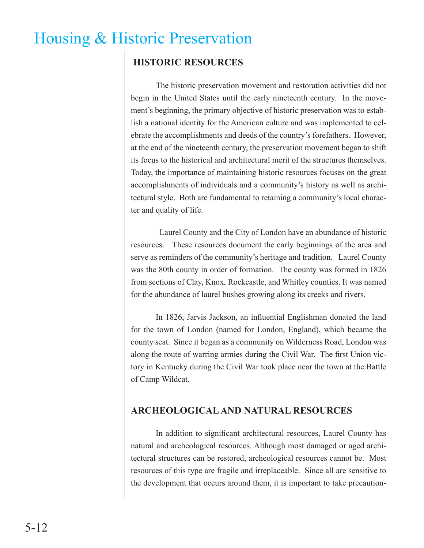## **HISTORIC RESOURCES**

The historic preservation movement and restoration activities did not begin in the United States until the early nineteenth century. In the movement's beginning, the primary objective of historic preservation was to establish a national identity for the American culture and was implemented to celebrate the accomplishments and deeds of the country's forefathers. However, at the end of the nineteenth century, the preservation movement began to shift its focus to the historical and architectural merit of the structures themselves. Today, the importance of maintaining historic resources focuses on the great accomplishments of individuals and a community's history as well as architectural style. Both are fundamental to retaining a community's local character and quality of life.

 Laurel County and the City of London have an abundance of historic resources. These resources document the early beginnings of the area and serve as reminders of the community's heritage and tradition. Laurel County was the 80th county in order of formation. The county was formed in 1826 from sections of Clay, Knox, Rockcastle, and Whitley counties. It was named for the abundance of laurel bushes growing along its creeks and rivers.

In 1826, Jarvis Jackson, an influential Englishman donated the land for the town of London (named for London, England), which became the county seat. Since it began as a community on Wilderness Road, London was along the route of warring armies during the Civil War. The first Union victory in Kentucky during the Civil War took place near the town at the Battle of Camp Wildcat.

## **ARCHEOLOGICAL AND NATURAL RESOURCES**

In addition to significant architectural resources, Laurel County has natural and archeological resources. Although most damaged or aged architectural structures can be restored, archeological resources cannot be. Most resources of this type are fragile and irreplaceable. Since all are sensitive to the development that occurs around them, it is important to take precaution-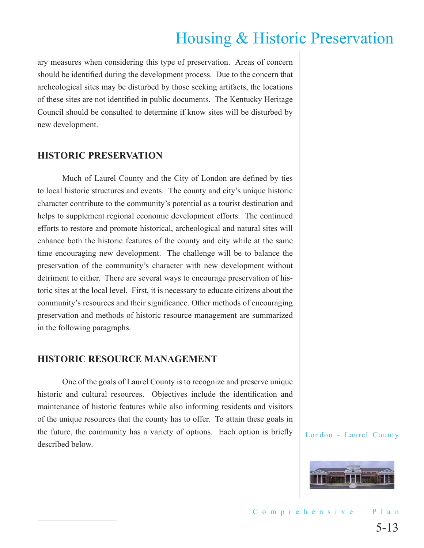ary measures when considering this type of preservation. Areas of concern should be identified during the development process. Due to the concern that archeological sites may be disturbed by those seeking artifacts, the locations of these sites are not identified in public documents. The Kentucky Heritage Council should be consulted to determine if know sites will be disturbed by new development.

### **HISTORIC PRESERVATION**

Much of Laurel County and the City of London are defined by ties to local historic structures and events. The county and city's unique historic character contribute to the community's potential as a tourist destination and helps to supplement regional economic development efforts. The continued efforts to restore and promote historical, archeological and natural sites will enhance both the historic features of the county and city while at the same time encouraging new development. The challenge will be to balance the preservation of the community's character with new development without detriment to either. There are several ways to encourage preservation of historic sites at the local level. First, it is necessary to educate citizens about the community's resources and their significance. Other methods of encouraging preservation and methods of historic resource management are summarized in the following paragraphs.

### **HISTORIC RESOURCE MANAGEMENT**

One of the goals of Laurel County is to recognize and preserve unique historic and cultural resources. Objectives include the identification and maintenance of historic features while also informing residents and visitors of the unique resources that the county has to offer. To attain these goals in the future, the community has a variety of options. Each option is briefly described below.

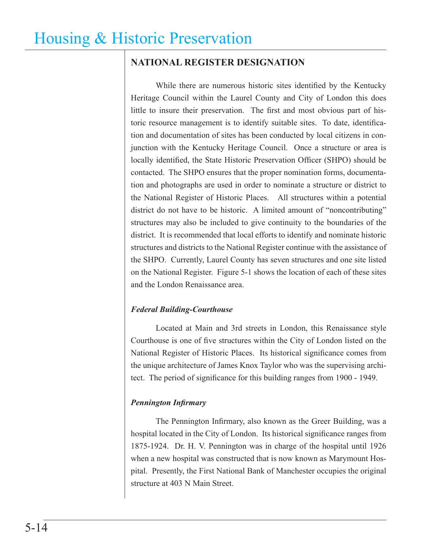### **NATIONAL REGISTER DESIGNATION**

While there are numerous historic sites identified by the Kentucky Heritage Council within the Laurel County and City of London this does little to insure their preservation. The first and most obvious part of historic resource management is to identify suitable sites. To date, identification and documentation of sites has been conducted by local citizens in conjunction with the Kentucky Heritage Council. Once a structure or area is locally identified, the State Historic Preservation Officer (SHPO) should be contacted. The SHPO ensures that the proper nomination forms, documentation and photographs are used in order to nominate a structure or district to the National Register of Historic Places. All structures within a potential district do not have to be historic. A limited amount of "noncontributing" structures may also be included to give continuity to the boundaries of the district. It is recommended that local efforts to identify and nominate historic structures and districts to the National Register continue with the assistance of the SHPO. Currently, Laurel County has seven structures and one site listed on the National Register. Figure 5-1 shows the location of each of these sites and the London Renaissance area.

### *Federal Building-Courthouse*

Located at Main and 3rd streets in London, this Renaissance style Courthouse is one of five structures within the City of London listed on the National Register of Historic Places. Its historical significance comes from the unique architecture of James Knox Taylor who was the supervising architect. The period of significance for this building ranges from 1900 - 1949.

### *Pennington Infirmary*

The Pennington Infirmary, also known as the Greer Building, was a hospital located in the City of London. Its historical significance ranges from 1875-1924. Dr. H. V. Pennington was in charge of the hospital until 1926 when a new hospital was constructed that is now known as Marymount Hospital. Presently, the First National Bank of Manchester occupies the original structure at 403 N Main Street.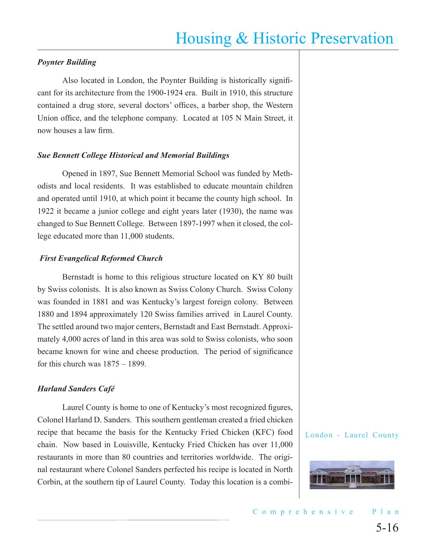#### *Poynter Building*

Also located in London, the Poynter Building is historically significant for its architecture from the 1900-1924 era. Built in 1910, this structure contained a drug store, several doctors' offices, a barber shop, the Western Union office, and the telephone company. Located at 105 N Main Street, it now houses a law firm.

#### *Sue Bennett College Historical and Memorial Buildings*

Opened in 1897, Sue Bennett Memorial School was funded by Methodists and local residents. It was established to educate mountain children and operated until 1910, at which point it became the county high school. In 1922 it became a junior college and eight years later (1930), the name was changed to Sue Bennett College. Between 1897-1997 when it closed, the college educated more than 11,000 students.

#### *First Evangelical Reformed Church*

Bernstadt is home to this religious structure located on KY 80 built by Swiss colonists. It is also known as Swiss Colony Church. Swiss Colony was founded in 1881 and was Kentucky's largest foreign colony. Between 1880 and 1894 approximately 120 Swiss families arrived in Laurel County. The settled around two major centers, Bernstadt and East Bernstadt. Approximately 4,000 acres of land in this area was sold to Swiss colonists, who soon became known for wine and cheese production. The period of significance for this church was  $1875 - 1899$ .

#### *Harland Sanders Café*

Laurel County is home to one of Kentucky's most recognized figures, Colonel Harland D. Sanders. This southern gentleman created a fried chicken recipe that became the basis for the Kentucky Fried Chicken (KFC) food chain. Now based in Louisville, Kentucky Fried Chicken has over 11,000 restaurants in more than 80 countries and territories worldwide. The original restaurant where Colonel Sanders perfected his recipe is located in North Corbin, at the southern tip of Laurel County. Today this location is a combi-

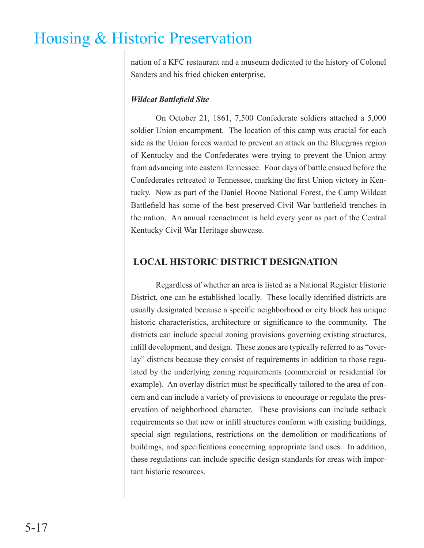nation of a KFC restaurant and a museum dedicated to the history of Colonel Sanders and his fried chicken enterprise.

### *Wildcat Battlefield Site*

On October 21, 1861, 7,500 Confederate soldiers attached a 5,000 soldier Union encampment. The location of this camp was crucial for each side as the Union forces wanted to prevent an attack on the Bluegrass region of Kentucky and the Confederates were trying to prevent the Union army from advancing into eastern Tennessee. Four days of battle ensued before the Confederates retreated to Tennessee, marking the first Union victory in Kentucky. Now as part of the Daniel Boone National Forest, the Camp Wildcat Battlefield has some of the best preserved Civil War battlefield trenches in the nation. An annual reenactment is held every year as part of the Central Kentucky Civil War Heritage showcase.

## **LOCAL HISTORIC DISTRICT DESIGNATION**

Regardless of whether an area is listed as a National Register Historic District, one can be established locally. These locally identified districts are usually designated because a specific neighborhood or city block has unique historic characteristics, architecture or significance to the community. The districts can include special zoning provisions governing existing structures, infill development, and design. These zones are typically referred to as "overlay" districts because they consist of requirements in addition to those regulated by the underlying zoning requirements (commercial or residential for example). An overlay district must be specifically tailored to the area of concern and can include a variety of provisions to encourage or regulate the preservation of neighborhood character. These provisions can include setback requirements so that new or infill structures conform with existing buildings, special sign regulations, restrictions on the demolition or modifications of buildings, and specifications concerning appropriate land uses. In addition, these regulations can include specific design standards for areas with important historic resources.